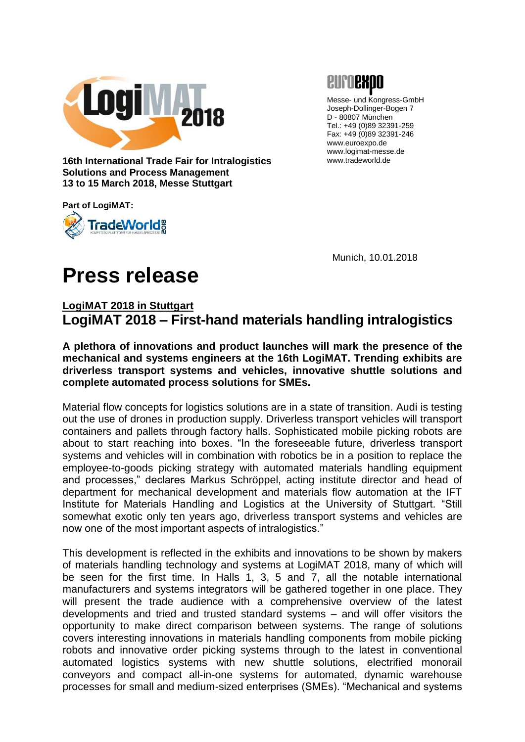



Messe- und Kongress-GmbH Joseph-Dollinger-Bogen 7 D - 80807 München Tel.: +49 (0)89 32391-259 Fax: +49 (0)89 32391-246 www.euroexpo.de www.logimat-messe.de www.tradeworld.de

**16th International Trade Fair for Intralogistics Solutions and Process Management 13 to 15 March 2018, Messe Stuttgart**

**Part of LogiMAT:**



Munich, 10.01.2018

# **Press release**

## **LogiMAT 2018 in Stuttgart LogiMAT 2018 – First-hand materials handling intralogistics**

**A plethora of innovations and product launches will mark the presence of the mechanical and systems engineers at the 16th LogiMAT. Trending exhibits are driverless transport systems and vehicles, innovative shuttle solutions and complete automated process solutions for SMEs.**

Material flow concepts for logistics solutions are in a state of transition. Audi is testing out the use of drones in production supply. Driverless transport vehicles will transport containers and pallets through factory halls. Sophisticated mobile picking robots are about to start reaching into boxes. "In the foreseeable future, driverless transport systems and vehicles will in combination with robotics be in a position to replace the employee-to-goods picking strategy with automated materials handling equipment and processes," declares Markus Schröppel, acting institute director and head of department for mechanical development and materials flow automation at the IFT Institute for Materials Handling and Logistics at the University of Stuttgart. "Still somewhat exotic only ten years ago, driverless transport systems and vehicles are now one of the most important aspects of intralogistics."

This development is reflected in the exhibits and innovations to be shown by makers of materials handling technology and systems at LogiMAT 2018, many of which will be seen for the first time. In Halls 1, 3, 5 and 7, all the notable international manufacturers and systems integrators will be gathered together in one place. They will present the trade audience with a comprehensive overview of the latest developments and tried and trusted standard systems – and will offer visitors the opportunity to make direct comparison between systems. The range of solutions covers interesting innovations in materials handling components from mobile picking robots and innovative order picking systems through to the latest in conventional automated logistics systems with new shuttle solutions, electrified monorail conveyors and compact all-in-one systems for automated, dynamic warehouse processes for small and medium-sized enterprises (SMEs). "Mechanical and systems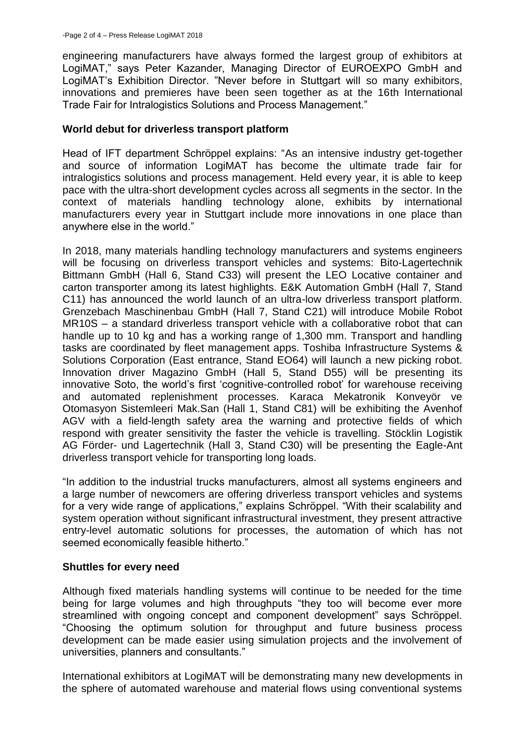engineering manufacturers have always formed the largest group of exhibitors at LogiMAT," says Peter Kazander, Managing Director of EUROEXPO GmbH and LogiMAT's Exhibition Director. "Never before in Stuttgart will so many exhibitors, innovations and premieres have been seen together as at the 16th International Trade Fair for Intralogistics Solutions and Process Management."

#### **World debut for driverless transport platform**

Head of IFT department Schröppel explains: "As an intensive industry get-together and source of information LogiMAT has become the ultimate trade fair for intralogistics solutions and process management. Held every year, it is able to keep pace with the ultra-short development cycles across all segments in the sector. In the context of materials handling technology alone, exhibits by international manufacturers every year in Stuttgart include more innovations in one place than anywhere else in the world."

In 2018, many materials handling technology manufacturers and systems engineers will be focusing on driverless transport vehicles and systems: Bito-Lagertechnik Bittmann GmbH (Hall 6, Stand C33) will present the LEO Locative container and carton transporter among its latest highlights. E&K Automation GmbH (Hall 7, Stand C11) has announced the world launch of an ultra-low driverless transport platform. Grenzebach Maschinenbau GmbH (Hall 7, Stand C21) will introduce Mobile Robot MR10S – a standard driverless transport vehicle with a collaborative robot that can handle up to 10 kg and has a working range of 1,300 mm. Transport and handling tasks are coordinated by fleet management apps. Toshiba Infrastructure Systems & Solutions Corporation (East entrance, Stand EO64) will launch a new picking robot. Innovation driver Magazino GmbH (Hall 5, Stand D55) will be presenting its innovative Soto, the world's first 'cognitive-controlled robot' for warehouse receiving and automated replenishment processes. Karaca Mekatronik Konveyör ve Otomasyon Sistemleeri Mak.San (Hall 1, Stand C81) will be exhibiting the Avenhof AGV with a field-length safety area the warning and protective fields of which respond with greater sensitivity the faster the vehicle is travelling. Stöcklin Logistik AG Förder- und Lagertechnik (Hall 3, Stand C30) will be presenting the Eagle-Ant driverless transport vehicle for transporting long loads.

"In addition to the industrial trucks manufacturers, almost all systems engineers and a large number of newcomers are offering driverless transport vehicles and systems for a very wide range of applications," explains Schröppel. "With their scalability and system operation without significant infrastructural investment, they present attractive entry-level automatic solutions for processes, the automation of which has not seemed economically feasible hitherto."

## **Shuttles for every need**

Although fixed materials handling systems will continue to be needed for the time being for large volumes and high throughputs "they too will become ever more streamlined with ongoing concept and component development" says Schröppel. "Choosing the optimum solution for throughput and future business process development can be made easier using simulation projects and the involvement of universities, planners and consultants."

International exhibitors at LogiMAT will be demonstrating many new developments in the sphere of automated warehouse and material flows using conventional systems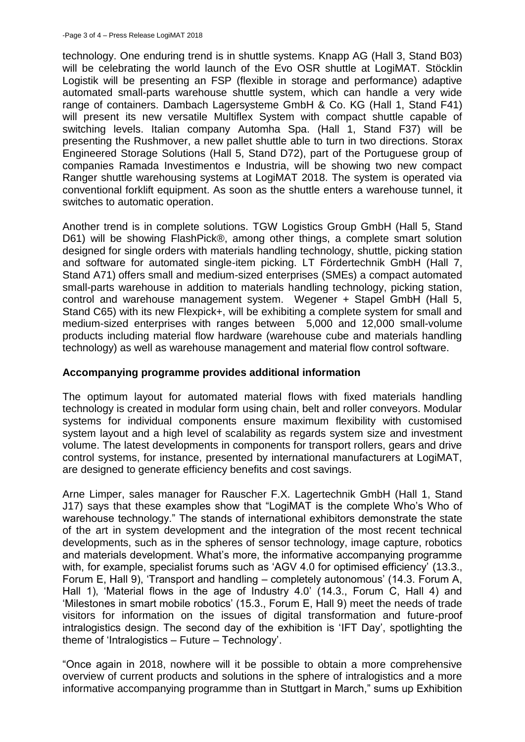technology. One enduring trend is in shuttle systems. Knapp AG (Hall 3, Stand B03) will be celebrating the world launch of the Evo OSR shuttle at LogiMAT. Stöcklin Logistik will be presenting an FSP (flexible in storage and performance) adaptive automated small-parts warehouse shuttle system, which can handle a very wide range of containers. Dambach Lagersysteme GmbH & Co. KG (Hall 1, Stand F41) will present its new versatile Multiflex System with compact shuttle capable of switching levels. Italian company Automha Spa. (Hall 1, Stand F37) will be presenting the Rushmover, a new pallet shuttle able to turn in two directions. Storax Engineered Storage Solutions (Hall 5, Stand D72), part of the Portuguese group of companies Ramada Investimentos e Industria, will be showing two new compact Ranger shuttle warehousing systems at LogiMAT 2018. The system is operated via conventional forklift equipment. As soon as the shuttle enters a warehouse tunnel, it switches to automatic operation.

Another trend is in complete solutions. TGW Logistics Group GmbH (Hall 5, Stand D61) will be showing FlashPick®, among other things, a complete smart solution designed for single orders with materials handling technology, shuttle, picking station and software for automated single-item picking. LT Fördertechnik GmbH (Hall 7, Stand A71) offers small and medium-sized enterprises (SMEs) a compact automated small-parts warehouse in addition to materials handling technology, picking station, control and warehouse management system. Wegener + Stapel GmbH (Hall 5, Stand C65) with its new Flexpick+, will be exhibiting a complete system for small and medium-sized enterprises with ranges between 5,000 and 12,000 small-volume products including material flow hardware (warehouse cube and materials handling technology) as well as warehouse management and material flow control software.

### **Accompanying programme provides additional information**

The optimum layout for automated material flows with fixed materials handling technology is created in modular form using chain, belt and roller conveyors. Modular systems for individual components ensure maximum flexibility with customised system layout and a high level of scalability as regards system size and investment volume. The latest developments in components for transport rollers, gears and drive control systems, for instance, presented by international manufacturers at LogiMAT, are designed to generate efficiency benefits and cost savings.

Arne Limper, sales manager for Rauscher F.X. Lagertechnik GmbH (Hall 1, Stand J17) says that these examples show that "LogiMAT is the complete Who's Who of warehouse technology." The stands of international exhibitors demonstrate the state of the art in system development and the integration of the most recent technical developments, such as in the spheres of sensor technology, image capture, robotics and materials development. What's more, the informative accompanying programme with, for example, specialist forums such as 'AGV 4.0 for optimised efficiency' (13.3., Forum E, Hall 9), 'Transport and handling – completely autonomous' (14.3. Forum A, Hall 1), 'Material flows in the age of Industry 4.0' (14.3., Forum C, Hall 4) and 'Milestones in smart mobile robotics' (15.3., Forum E, Hall 9) meet the needs of trade visitors for information on the issues of digital transformation and future-proof intralogistics design. The second day of the exhibition is 'IFT Day', spotlighting the theme of 'Intralogistics – Future – Technology'.

"Once again in 2018, nowhere will it be possible to obtain a more comprehensive overview of current products and solutions in the sphere of intralogistics and a more informative accompanying programme than in Stuttgart in March," sums up Exhibition